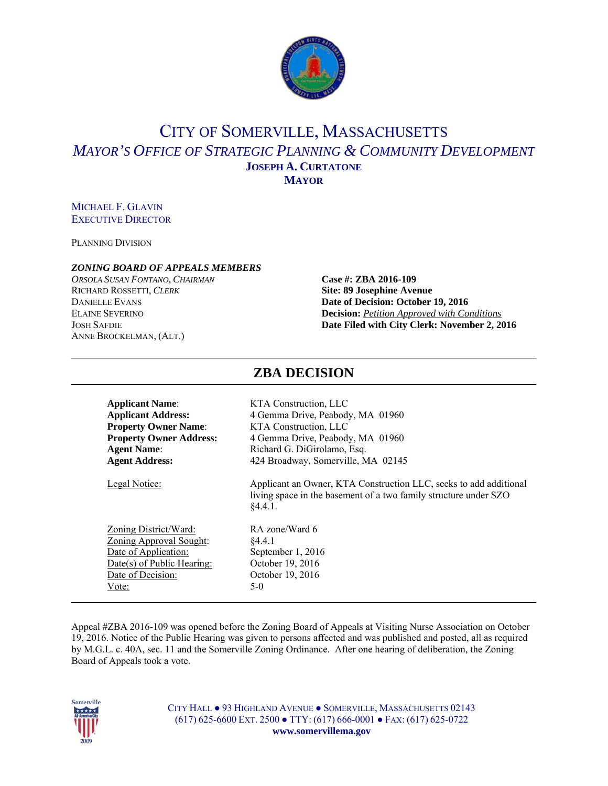

## CITY OF SOMERVILLE, MASSACHUSETTS *MAYOR'S OFFICE OF STRATEGIC PLANNING & COMMUNITY DEVELOPMENT* **JOSEPH A. CURTATONE MAYOR**

### MICHAEL F. GLAVIN EXECUTIVE DIRECTOR

PLANNING DIVISION

### *ZONING BOARD OF APPEALS MEMBERS*

*ORSOLA SUSAN FONTANO*, *CHAIRMAN* **Case #: ZBA 2016-109** RICHARD ROSSETTI, *CLERK* **Site: 89 Josephine Avenue** ANNE BROCKELMAN, (ALT.)

# **DANIELLE EVANS Date of Decision: October 19, 2016** ELAINE SEVERINO **Decision:** *Petition Approved with Conditions* JOSH SAFDIE **Date Filed with City Clerk: November 2, 2016**

| <b>Applicant Name:</b>         | KTA Construction, LLC                                                                                                                            |
|--------------------------------|--------------------------------------------------------------------------------------------------------------------------------------------------|
| <b>Applicant Address:</b>      | 4 Gemma Drive, Peabody, MA 01960                                                                                                                 |
| <b>Property Owner Name:</b>    | KTA Construction, LLC                                                                                                                            |
| <b>Property Owner Address:</b> | 4 Gemma Drive, Peabody, MA 01960                                                                                                                 |
| <b>Agent Name:</b>             | Richard G. DiGirolamo, Esq.                                                                                                                      |
| <b>Agent Address:</b>          | 424 Broadway, Somerville, MA 02145                                                                                                               |
| Legal Notice:                  | Applicant an Owner, KTA Construction LLC, seeks to add additional<br>living space in the basement of a two family structure under SZO<br>§4.4.1. |
| Zoning District/Ward:          | RA zone/Ward 6                                                                                                                                   |
| <b>Zoning Approval Sought:</b> | \$4.4.1                                                                                                                                          |
| Date of Application:           | September 1, 2016                                                                                                                                |
| Date(s) of Public Hearing:     | October 19, 2016                                                                                                                                 |
| Date of Decision:              | October 19, 2016                                                                                                                                 |
| Vote:                          | $5-0$                                                                                                                                            |

#### Appeal #ZBA 2016-109 was opened before the Zoning Board of Appeals at Visiting Nurse Association on October 19, 2016. Notice of the Public Hearing was given to persons affected and was published and posted, all as required by M.G.L. c. 40A, sec. 11 and the Somerville Zoning Ordinance. After one hearing of deliberation, the Zoning Board of Appeals took a vote.



CITY HALL ● 93 HIGHLAND AVENUE ● SOMERVILLE, MASSACHUSETTS 02143 (617) 625-6600 EXT. 2500 ● TTY: (617) 666-0001 ● FAX: (617) 625-0722 **www.somervillema.gov** 

### **ZBA DECISION**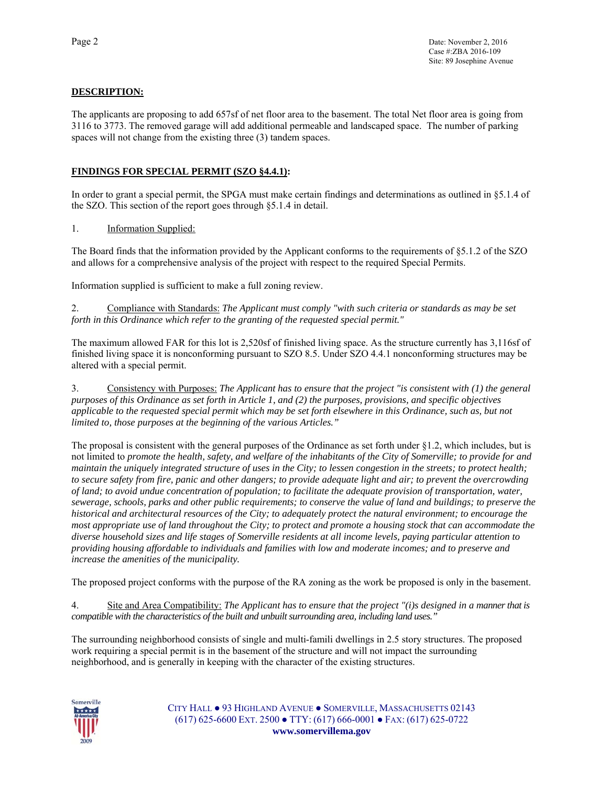### **DESCRIPTION:**

The applicants are proposing to add 657sf of net floor area to the basement. The total Net floor area is going from 3116 to 3773. The removed garage will add additional permeable and landscaped space. The number of parking spaces will not change from the existing three (3) tandem spaces.

### **FINDINGS FOR SPECIAL PERMIT (SZO §4.4.1):**

In order to grant a special permit, the SPGA must make certain findings and determinations as outlined in §5.1.4 of the SZO. This section of the report goes through §5.1.4 in detail.

1. Information Supplied:

The Board finds that the information provided by the Applicant conforms to the requirements of §5.1.2 of the SZO and allows for a comprehensive analysis of the project with respect to the required Special Permits.

Information supplied is sufficient to make a full zoning review.

2. Compliance with Standards: *The Applicant must comply "with such criteria or standards as may be set forth in this Ordinance which refer to the granting of the requested special permit."* 

The maximum allowed FAR for this lot is 2,520sf of finished living space. As the structure currently has 3,116sf of finished living space it is nonconforming pursuant to SZO 8.5. Under SZO 4.4.1 nonconforming structures may be altered with a special permit.

3. Consistency with Purposes: *The Applicant has to ensure that the project "is consistent with (1) the general purposes of this Ordinance as set forth in Article 1, and (2) the purposes, provisions, and specific objectives applicable to the requested special permit which may be set forth elsewhere in this Ordinance, such as, but not limited to, those purposes at the beginning of the various Articles."* 

The proposal is consistent with the general purposes of the Ordinance as set forth under §1.2, which includes, but is not limited to *promote the health, safety, and welfare of the inhabitants of the City of Somerville; to provide for and maintain the uniquely integrated structure of uses in the City; to lessen congestion in the streets; to protect health; to secure safety from fire, panic and other dangers; to provide adequate light and air; to prevent the overcrowding of land; to avoid undue concentration of population; to facilitate the adequate provision of transportation, water, sewerage, schools, parks and other public requirements; to conserve the value of land and buildings; to preserve the historical and architectural resources of the City; to adequately protect the natural environment; to encourage the most appropriate use of land throughout the City; to protect and promote a housing stock that can accommodate the diverse household sizes and life stages of Somerville residents at all income levels, paying particular attention to providing housing affordable to individuals and families with low and moderate incomes; and to preserve and increase the amenities of the municipality.* 

The proposed project conforms with the purpose of the RA zoning as the work be proposed is only in the basement.

4. Site and Area Compatibility: *The Applicant has to ensure that the project "(i)s designed in a manner that is compatible with the characteristics of the built and unbuilt surrounding area, including land uses."*

The surrounding neighborhood consists of single and multi-famili dwellings in 2.5 story structures. The proposed work requiring a special permit is in the basement of the structure and will not impact the surrounding neighborhood, and is generally in keeping with the character of the existing structures.



CITY HALL ● 93 HIGHLAND AVENUE ● SOMERVILLE, MASSACHUSETTS 02143 (617) 625-6600 EXT. 2500 ● TTY: (617) 666-0001 ● FAX: (617) 625-0722 **www.somervillema.gov**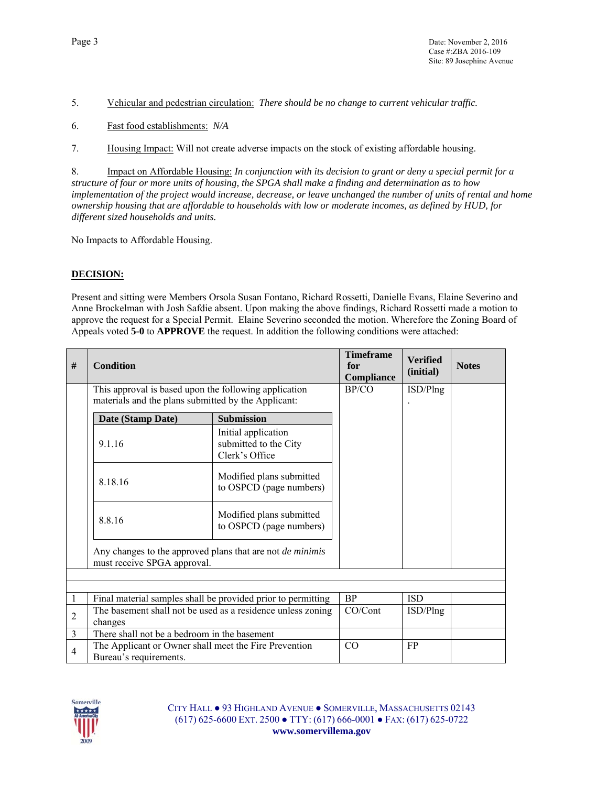5. Vehicular and pedestrian circulation: *There should be no change to current vehicular traffic.* 

- 6. Fast food establishments: *N/A*
- 7. Housing Impact: Will not create adverse impacts on the stock of existing affordable housing.

8. Impact on Affordable Housing: *In conjunction with its decision to grant or deny a special permit for a structure of four or more units of housing, the SPGA shall make a finding and determination as to how implementation of the project would increase, decrease, or leave unchanged the number of units of rental and home ownership housing that are affordable to households with low or moderate incomes, as defined by HUD, for different sized households and units.*

No Impacts to Affordable Housing.

### **DECISION:**

Present and sitting were Members Orsola Susan Fontano, Richard Rossetti, Danielle Evans, Elaine Severino and Anne Brockelman with Josh Safdie absent. Upon making the above findings, Richard Rossetti made a motion to approve the request for a Special Permit. Elaine Severino seconded the motion. Wherefore the Zoning Board of Appeals voted **5-0** to **APPROVE** the request. In addition the following conditions were attached:

| # | <b>Condition</b>                                                                                                                       |                                                                | <b>Timeframe</b><br>for<br>Compliance | <b>Verified</b><br>(initial) | <b>Notes</b> |
|---|----------------------------------------------------------------------------------------------------------------------------------------|----------------------------------------------------------------|---------------------------------------|------------------------------|--------------|
|   | This approval is based upon the following application<br>materials and the plans submitted by the Applicant:                           | BP/CO                                                          | ISD/Plng                              |                              |              |
|   | Date (Stamp Date)                                                                                                                      | <b>Submission</b>                                              |                                       |                              |              |
|   | 9.1.16                                                                                                                                 | Initial application<br>submitted to the City<br>Clerk's Office |                                       |                              |              |
|   | 8.18.16                                                                                                                                | Modified plans submitted<br>to OSPCD (page numbers)            |                                       |                              |              |
|   | 8.8.16                                                                                                                                 | Modified plans submitted<br>to OSPCD (page numbers)            |                                       |                              |              |
|   | Any changes to the approved plans that are not <i>de minimis</i><br>must receive SPGA approval.                                        |                                                                |                                       |                              |              |
|   |                                                                                                                                        |                                                                |                                       |                              |              |
|   |                                                                                                                                        |                                                                | <b>BP</b>                             | <b>ISD</b>                   |              |
| 2 | Final material samples shall be provided prior to permitting<br>The basement shall not be used as a residence unless zoning<br>changes |                                                                | CO/Cont                               | ISD/Plng                     |              |
| 3 | There shall not be a bedroom in the basement                                                                                           |                                                                |                                       |                              |              |
| 4 | The Applicant or Owner shall meet the Fire Prevention<br>Bureau's requirements.                                                        |                                                                | CO                                    | FP.                          |              |

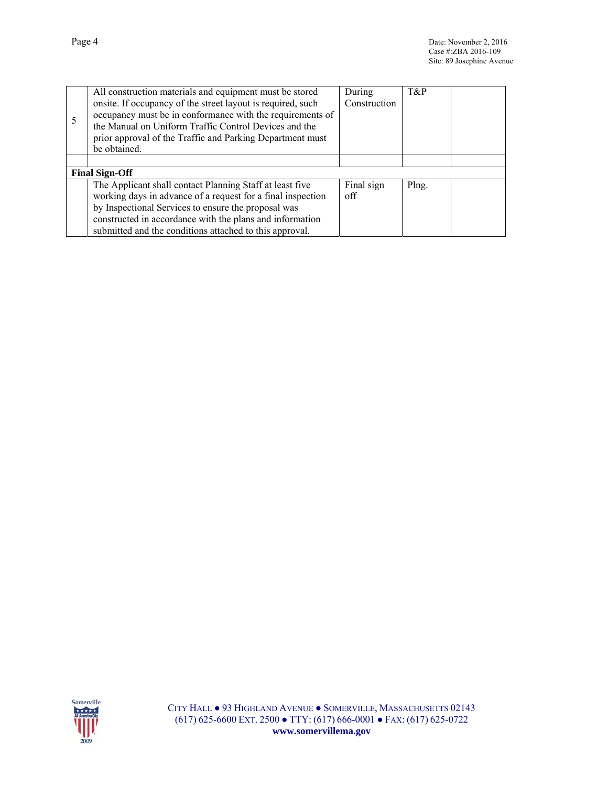|                       | All construction materials and equipment must be stored<br>onsite. If occupancy of the street layout is required, such<br>occupancy must be in conformance with the requirements of<br>the Manual on Uniform Traffic Control Devices and the<br>prior approval of the Traffic and Parking Department must<br>be obtained. | During<br>Construction | T&P   |  |
|-----------------------|---------------------------------------------------------------------------------------------------------------------------------------------------------------------------------------------------------------------------------------------------------------------------------------------------------------------------|------------------------|-------|--|
|                       |                                                                                                                                                                                                                                                                                                                           |                        |       |  |
| <b>Final Sign-Off</b> |                                                                                                                                                                                                                                                                                                                           |                        |       |  |
|                       | The Applicant shall contact Planning Staff at least five<br>working days in advance of a request for a final inspection                                                                                                                                                                                                   | Final sign<br>off      | Plng. |  |
|                       | by Inspectional Services to ensure the proposal was                                                                                                                                                                                                                                                                       |                        |       |  |
|                       | constructed in accordance with the plans and information                                                                                                                                                                                                                                                                  |                        |       |  |
|                       | submitted and the conditions attached to this approval.                                                                                                                                                                                                                                                                   |                        |       |  |